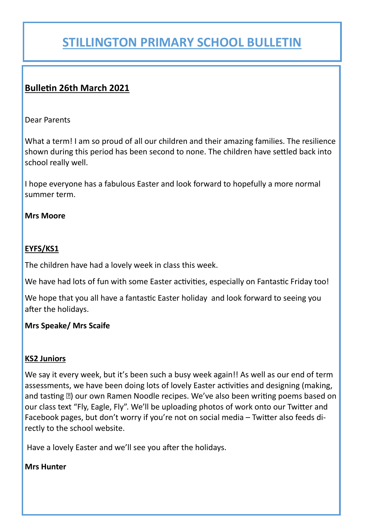## **STILLINGTON PRIMARY SCHOOL BULLETIN**

### **Bulletin 26th March 2021**

Dear Parents

What a term! I am so proud of all our children and their amazing families. The resilience shown during this period has been second to none. The children have settled back into school really well.

I hope everyone has a fabulous Easter and look forward to hopefully a more normal summer term.

#### **Mrs Moore**

#### **EYFS/KS1**

The children have had a lovely week in class this week.

We have had lots of fun with some Easter activities, especially on Fantastic Friday too!

We hope that you all have a fantastic Easter holiday and look forward to seeing you after the holidays.

#### **Mrs Speake/ Mrs Scaife**

#### **KS2 Juniors**

We say it every week, but it's been such a busy week again!! As well as our end of term assessments, we have been doing lots of lovely Easter activities and designing (making, and tasting 2) our own Ramen Noodle recipes. We've also been writing poems based on our class text "Fly, Eagle, Fly". We'll be uploading photos of work onto our Twitter and Facebook pages, but don't worry if you're not on social media – Twitter also feeds directly to the school website.

Have a lovely Easter and we'll see you after the holidays.

#### **Mrs Hunter**